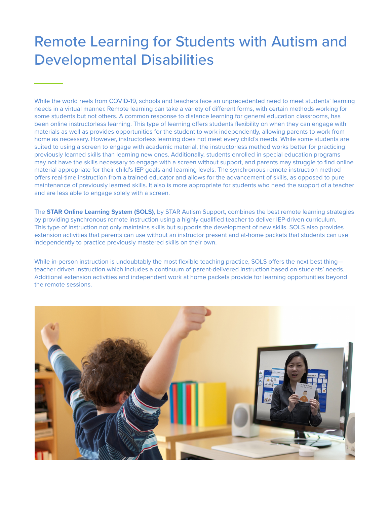## Remote Learning for Students with Autism and Developmental Disabilities

While the world reels from COVID-19, schools and teachers face an unprecedented need to meet students' learning needs in a virtual manner. Remote learning can take a variety of different forms, with certain methods working for some students but not others. A common response to distance learning for general education classrooms, has been online instructorless learning. This type of learning offers students flexibility on when they can engage with materials as well as provides opportunities for the student to work independently, allowing parents to work from home as necessary. However, instructorless learning does not meet every child's needs. While some students are suited to using a screen to engage with academic material, the instructorless method works better for practicing previously learned skills than learning new ones. Additionally, students enrolled in special education programs may not have the skills necessary to engage with a screen without support, and parents may struggle to find online material appropriate for their child's IEP goals and learning levels. The synchronous remote instruction method offers real-time instruction from a trained educator and allows for the advancement of skills, as opposed to pure maintenance of previously learned skills. It also is more appropriate for students who need the support of a teacher and are less able to engage solely with a screen.

The **STAR Online Learning System (SOLS)**, by STAR Autism Support, combines the best remote learning strategies by providing synchronous remote instruction using a highly qualified teacher to deliver IEP-driven curriculum. This type of instruction not only maintains skills but supports the development of new skills. SOLS also provides extension activities that parents can use without an instructor present and at-home packets that students can use independently to practice previously mastered skills on their own.

While in-person instruction is undoubtably the most flexible teaching practice, SOLS offers the next best thingteacher driven instruction which includes a continuum of parent-delivered instruction based on students' needs. Additional extension activities and independent work at home packets provide for learning opportunities beyond the remote sessions.